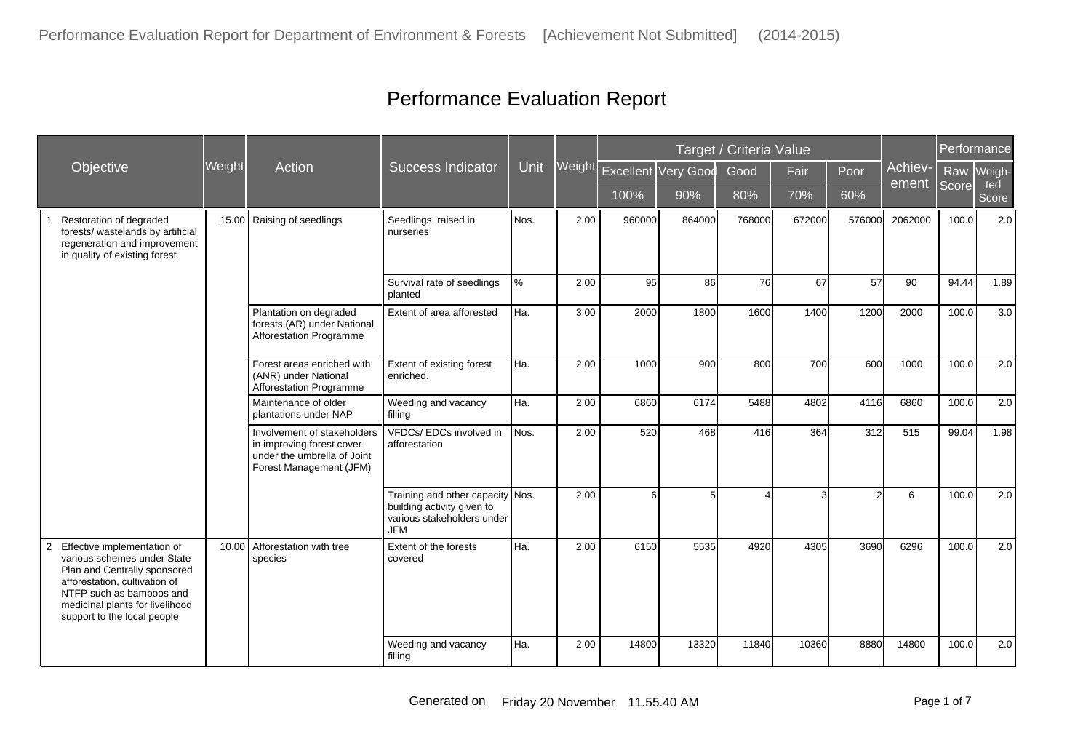|                                                                                                                                                                                                                                |        |                                                                                                                    |                                                                                                            |      |        |        |                     | Target / Criteria Value |        |                |                  | Performance |              |
|--------------------------------------------------------------------------------------------------------------------------------------------------------------------------------------------------------------------------------|--------|--------------------------------------------------------------------------------------------------------------------|------------------------------------------------------------------------------------------------------------|------|--------|--------|---------------------|-------------------------|--------|----------------|------------------|-------------|--------------|
| Objective                                                                                                                                                                                                                      | Weight | Action                                                                                                             | <b>Success Indicator</b>                                                                                   | Unit | Weight |        | Excellent Very Good | Good                    | Fair   | Poor           | Achiev-<br>ement |             | Raw Weigh-   |
|                                                                                                                                                                                                                                |        |                                                                                                                    |                                                                                                            |      |        | 100%   | 90%                 | 80%                     | 70%    | 60%            |                  | Score       | ted<br>Score |
| Restoration of degraded<br>forests/ wastelands by artificial<br>regeneration and improvement<br>in quality of existing forest                                                                                                  | 15.00  | Raising of seedlings                                                                                               | Seedlings raised in<br>nurseries                                                                           | Nos. | 2.00   | 960000 | 864000              | 768000                  | 672000 | 576000         | 2062000          | 100.0       | 2.0          |
|                                                                                                                                                                                                                                |        |                                                                                                                    | Survival rate of seedlings<br>planted                                                                      | $\%$ | 2.00   | 95     | 86                  | 76                      | 67     | 57             | 90               | 94.44       | 1.89         |
|                                                                                                                                                                                                                                |        | Plantation on degraded<br>forests (AR) under National<br>Afforestation Programme                                   | Extent of area afforested                                                                                  | Ha.  | 3.00   | 2000   | 1800                | 1600                    | 1400   | 1200           | 2000             | 100.0       | 3.0          |
|                                                                                                                                                                                                                                |        | Forest areas enriched with<br>(ANR) under National<br><b>Afforestation Programme</b>                               | Extent of existing forest<br>enriched.                                                                     | Ha.  | 2.00   | 1000   | 900                 | 800                     | 700    | 600            | 1000             | 100.0       | 2.0          |
|                                                                                                                                                                                                                                |        | Maintenance of older<br>plantations under NAP                                                                      | Weeding and vacancy<br>filling                                                                             | Ha.  | 2.00   | 6860   | 6174                | 5488                    | 4802   | 4116           | 6860             | 100.0       | 2.0          |
|                                                                                                                                                                                                                                |        | Involvement of stakeholders<br>in improving forest cover<br>under the umbrella of Joint<br>Forest Management (JFM) | VFDCs/EDCs involved in<br>afforestation                                                                    | Nos. | 2.00   | 520    | 468                 | 416                     | 364    | 312            | 515              | 99.04       | 1.98         |
|                                                                                                                                                                                                                                |        |                                                                                                                    | Training and other capacity Nos.<br>building activity given to<br>various stakeholders under<br><b>JFM</b> |      | 2.00   | 6      | 5                   |                         | 3      | $\mathfrak{p}$ | 6                | 100.0       | 2.0          |
| Effective implementation of<br>2<br>various schemes under State<br>Plan and Centrally sponsored<br>afforestation, cultivation of<br>NTFP such as bamboos and<br>medicinal plants for livelihood<br>support to the local people | 10.00  | Afforestation with tree<br>species                                                                                 | Extent of the forests<br>covered                                                                           | Ha.  | 2.00   | 6150   | 5535                | 4920                    | 4305   | 3690           | 6296             | 100.0       | 2.0          |
|                                                                                                                                                                                                                                |        |                                                                                                                    | Weeding and vacancy<br>filling                                                                             | Ha.  | 2.00   | 14800  | 13320               | 11840                   | 10360  | 8880           | 14800            | 100.0       | 2.0          |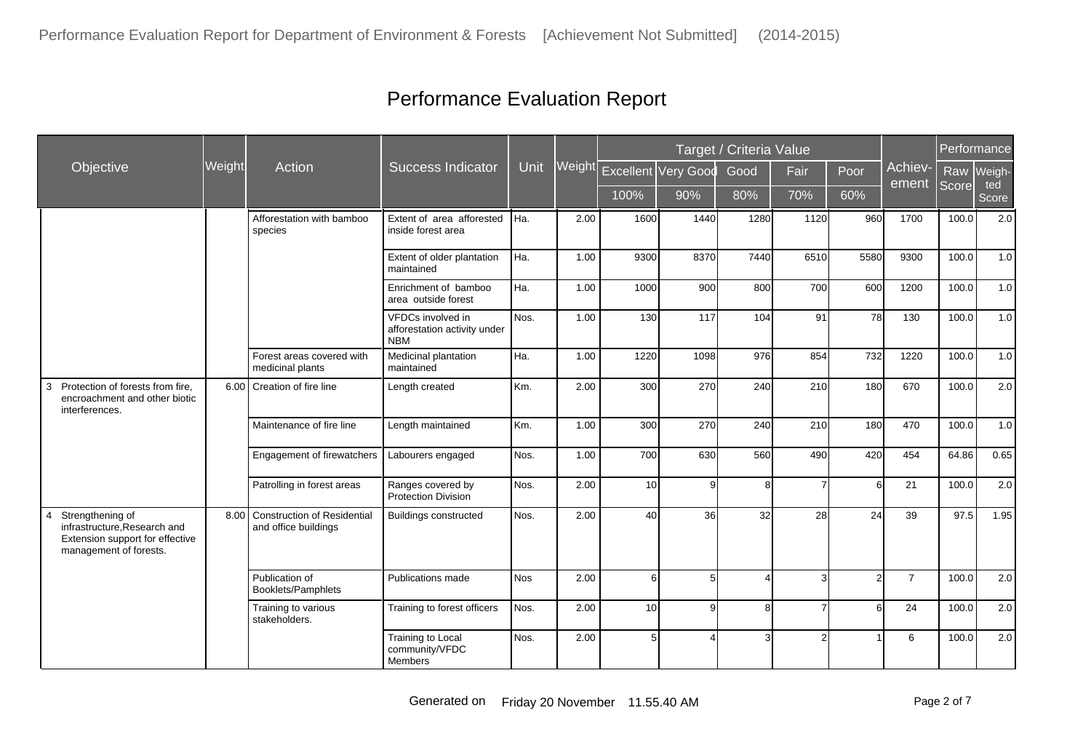|                                                                                                               |        |                                                            |                                                                 |             |      |                            |                | Target / Criteria Value |                |                |                  |       | Performance  |
|---------------------------------------------------------------------------------------------------------------|--------|------------------------------------------------------------|-----------------------------------------------------------------|-------------|------|----------------------------|----------------|-------------------------|----------------|----------------|------------------|-------|--------------|
| Objective                                                                                                     | Weight | Action                                                     | <b>Success Indicator</b>                                        | <b>Unit</b> |      | Weight Excellent Very Good |                | Good                    | Fair           | Poor           | Achiev-<br>ement |       | Raw Weigh-   |
|                                                                                                               |        |                                                            |                                                                 |             |      | 100%                       | 90%            | 80%                     | 70%            | 60%            |                  | Score | ted<br>Score |
|                                                                                                               |        | Afforestation with bamboo<br>species                       | Extent of area afforested<br>inside forest area                 | Iнa.        | 2.00 | 1600                       | 1440           | 1280                    | 1120           | 960            | 1700             | 100.0 | 2.0          |
|                                                                                                               |        |                                                            | Extent of older plantation<br>maintained                        | Ha.         | 1.00 | 9300                       | 8370           | 7440                    | 6510           | 5580           | 9300             | 100.0 | 1.0          |
|                                                                                                               |        |                                                            | Enrichment of bamboo<br>area outside forest                     | Ha.         | 1.00 | 1000                       | 900            | 800                     | 700            | 600            | 1200             | 100.0 | 1.0          |
|                                                                                                               |        |                                                            | VFDCs involved in<br>afforestation activity under<br><b>NBM</b> | Nos.        | 1.00 | 130                        | 117            | 104                     | 91             | 78             | 130              | 100.0 | 1.0          |
|                                                                                                               |        | Forest areas covered with<br>medicinal plants              | Medicinal plantation<br>maintained                              | Ha.         | 1.00 | 1220                       | 1098           | 976                     | 854            | 732            | 1220             | 100.0 | 1.0          |
| Protection of forests from fire,<br>3<br>encroachment and other biotic<br>interferences.                      |        | 6.00 Creation of fire line                                 | Length created                                                  | Km.         | 2.00 | 300                        | 270            | 240                     | 210            | 180            | 670              | 100.0 | 2.0          |
|                                                                                                               |        | Maintenance of fire line                                   | Length maintained                                               | Km.         | 1.00 | 300                        | 270            | 240                     | 210            | 180            | 470              | 100.0 | 1.0          |
|                                                                                                               |        | Engagement of firewatchers                                 | Labourers engaged                                               | Nos.        | 1.00 | 700                        | 630            | 560                     | 490            | 420            | 454              | 64.86 | 0.65         |
|                                                                                                               |        | Patrolling in forest areas                                 | Ranges covered by<br><b>Protection Division</b>                 | Nos.        | 2.00 | 10 <sup>1</sup>            | 9              | 8                       |                | 6              | 21               | 100.0 | 2.0          |
| Strengthening of<br>infrastructure, Research and<br>Extension support for effective<br>management of forests. | 8.00   | <b>Construction of Residential</b><br>and office buildings | <b>Buildings constructed</b>                                    | Nos.        | 2.00 | 40                         | 36             | 32                      | 28             | 24             | 39               | 97.5  | 1.95         |
|                                                                                                               |        | Publication of<br>Booklets/Pamphlets                       | Publications made                                               | <b>Nos</b>  | 2.00 | $6 \mid$                   | 5 <sup>1</sup> | $\overline{4}$          | 3 <sup>1</sup> | $\overline{2}$ | $\overline{7}$   | 100.0 | 2.0          |
|                                                                                                               |        | Training to various<br>stakeholders.                       | Training to forest officers                                     | Nos.        | 2.00 | 10                         | 9              | 8                       | 7              | 6              | 24               | 100.0 | 2.0          |
|                                                                                                               |        |                                                            | <b>Training to Local</b><br>community/VFDC<br>Members           | Nos.        | 2.00 | 5                          | Δ              | $\mathbf{3}$            | 2 <sub>1</sub> |                | 6                | 100.0 | 2.0          |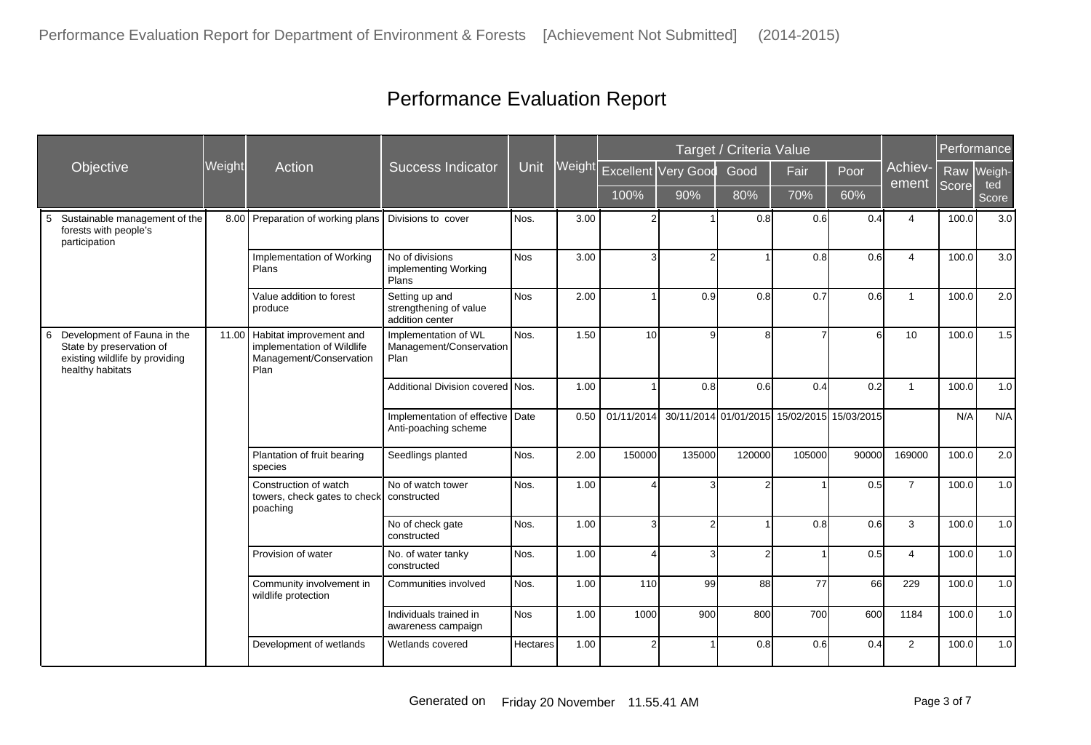|                                                                                                                    |        |                                                                                          |                                                             |             |        |                            | Target / Criteria Value |                |                                             | Performance |                  |       |              |
|--------------------------------------------------------------------------------------------------------------------|--------|------------------------------------------------------------------------------------------|-------------------------------------------------------------|-------------|--------|----------------------------|-------------------------|----------------|---------------------------------------------|-------------|------------------|-------|--------------|
| Objective                                                                                                          | Weight | Action                                                                                   | <b>Success Indicator</b>                                    | <b>Unit</b> | Weight | <b>Excellent Very Good</b> |                         | Good           | Fair                                        | Poor        | Achiev-<br>ement | Raw   | Weigh-       |
|                                                                                                                    |        |                                                                                          |                                                             |             |        | 100%                       | 90%                     | 80%            | 70%                                         | 60%         |                  | Score | ted<br>Score |
| Sustainable management of the<br>5<br>forests with people's<br>participation                                       |        | 8.00 Preparation of working plans                                                        | Divisions to cover                                          | Nos.        | 3.00   |                            |                         | 0.8            | 0.6                                         | 0.4         | $\overline{4}$   | 100.0 | 3.0          |
|                                                                                                                    |        | Implementation of Working<br>Plans                                                       | No of divisions<br>implementing Working<br>Plans            | <b>Nos</b>  | 3.00   | $\overline{3}$             | $\overline{2}$          |                | 0.8                                         | 0.6         | $\overline{4}$   | 100.0 | 3.0          |
|                                                                                                                    |        | Value addition to forest<br>produce                                                      | Setting up and<br>strengthening of value<br>addition center | <b>Nos</b>  | 2.00   |                            | 0.9                     | 0.8            | 0.7                                         | 0.6         | $\overline{1}$   | 100.0 | 2.0          |
| Development of Fauna in the<br>6<br>State by preservation of<br>existing wildlife by providing<br>healthy habitats | 11.00  | Habitat improvement and<br>implementation of Wildlife<br>Management/Conservation<br>Plan | Implementation of WL<br>Management/Conservation<br>Plan     | Nos.        | 1.50   | 10 <sup>1</sup>            | g                       | 8              |                                             | 6           | 10               | 100.0 | 1.5          |
|                                                                                                                    |        |                                                                                          | Additional Division covered Nos.                            |             | 1.00   |                            | 0.8                     | 0.6            | 0.4                                         | 0.2         | $\mathbf{1}$     | 100.0 | 1.0          |
|                                                                                                                    |        |                                                                                          | Implementation of effective Date<br>Anti-poaching scheme    |             | 0.50   | 01/11/2014                 |                         |                | 30/11/2014 01/01/2015 15/02/2015 15/03/2015 |             |                  | N/A   | N/A          |
|                                                                                                                    |        | Plantation of fruit bearing<br>species                                                   | Seedlings planted                                           | Nos.        | 2.00   | 150000                     | 135000                  | 120000         | 105000                                      | 90000       | 169000           | 100.0 | 2.0          |
|                                                                                                                    |        | Construction of watch<br>towers, check gates to check<br>poaching                        | No of watch tower<br>constructed                            | Nos.        | 1.00   |                            | 3                       | $\overline{2}$ |                                             | 0.5         | $\overline{7}$   | 100.0 | 1.0          |
|                                                                                                                    |        |                                                                                          | No of check gate<br>constructed                             | Nos.        | 1.00   | 3                          | $\overline{2}$          |                | 0.8                                         | 0.6         | 3                | 100.0 | 1.0          |
|                                                                                                                    |        | Provision of water                                                                       | No. of water tanky<br>constructed                           | Nos.        | 1.00   |                            | 3                       | $\mathcal{P}$  |                                             | 0.5         | $\overline{4}$   | 100.0 | 1.0          |
|                                                                                                                    |        | Community involvement in<br>wildlife protection                                          | Communities involved                                        | Nos.        | 1.00   | 110                        | 99                      | 88             | 77                                          | 66          | 229              | 100.0 | 1.0          |
|                                                                                                                    |        |                                                                                          | Individuals trained in<br>awareness campaign                | <b>Nos</b>  | 1.00   | 1000                       | 900                     | 800            | 700                                         | 600         | 1184             | 100.0 | 1.0          |
|                                                                                                                    |        | Development of wetlands                                                                  | Wetlands covered                                            | Hectares    | 1.00   | 2                          |                         | 0.8            | 0.6                                         | 0.4         | $\overline{2}$   | 100.0 | 1.0          |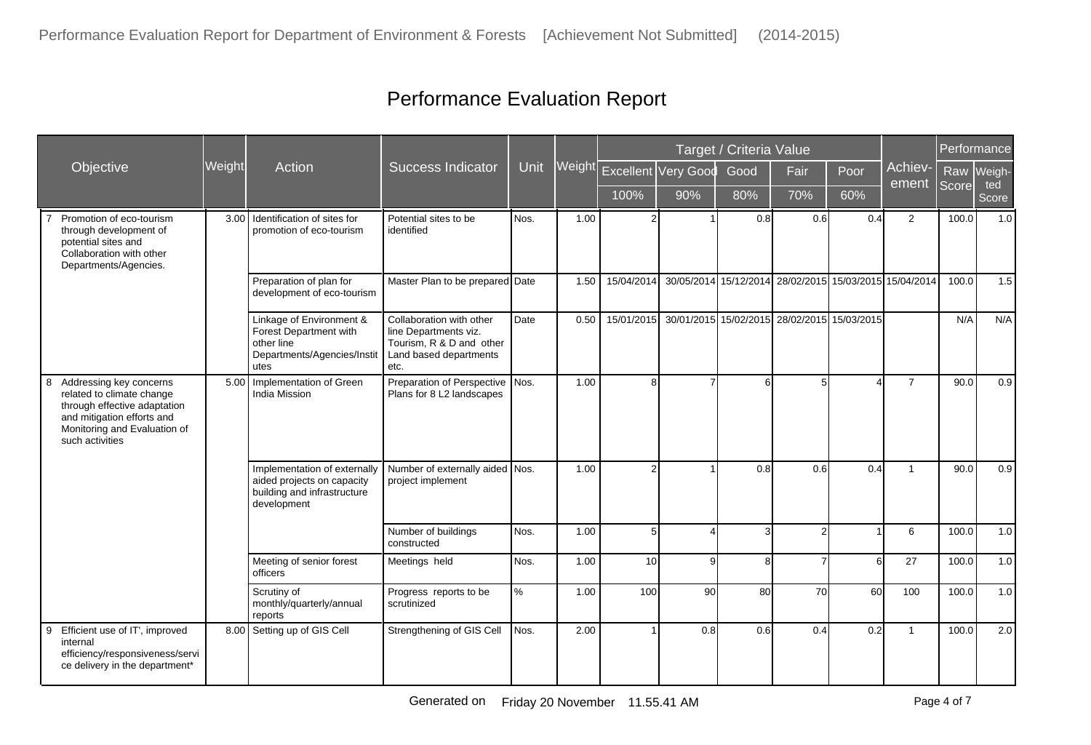|                                                                                                                                                                            |        |                                                                                                          |                                                                                                                 |             |        |            |                     | Target / Criteria Value |                 |                                             |                                                        | Performance |              |
|----------------------------------------------------------------------------------------------------------------------------------------------------------------------------|--------|----------------------------------------------------------------------------------------------------------|-----------------------------------------------------------------------------------------------------------------|-------------|--------|------------|---------------------|-------------------------|-----------------|---------------------------------------------|--------------------------------------------------------|-------------|--------------|
| Objective                                                                                                                                                                  | Weight | Action                                                                                                   | <b>Success Indicator</b>                                                                                        | <b>Unit</b> | Weight |            | Excellent Very Good | Good                    | Fair            | Poor                                        | Achiev-<br>ement                                       | Raw         | Weigh-       |
|                                                                                                                                                                            |        |                                                                                                          |                                                                                                                 |             |        | 100%       | 90%                 | 80%                     | 70%             | 60%                                         |                                                        | Score       | ted<br>Score |
| Promotion of eco-tourism<br>through development of<br>potential sites and<br>Collaboration with other<br>Departments/Agencies.                                             | 3.00   | Identification of sites for<br>promotion of eco-tourism                                                  | Potential sites to be<br>identified                                                                             | Nos.        | 1.00   |            |                     | 0.8                     | 0.6             | 0.4                                         | 2                                                      | 100.0       | 1.0          |
|                                                                                                                                                                            |        | Preparation of plan for<br>development of eco-tourism                                                    | Master Plan to be prepared Date                                                                                 |             | 1.50   | 15/04/2014 |                     |                         |                 |                                             | 30/05/2014 15/12/2014 28/02/2015 15/03/2015 15/04/2014 | 100.0       | 1.5          |
|                                                                                                                                                                            |        | Linkage of Environment &<br>Forest Department with<br>other line<br>Departments/Agencies/Instit<br>utes  | Collaboration with other<br>line Departments viz.<br>Tourism, R & D and other<br>Land based departments<br>etc. | Date        | 0.50   | 15/01/2015 |                     |                         |                 | 30/01/2015 15/02/2015 28/02/2015 15/03/2015 |                                                        | N/A         | N/A          |
| Addressing key concerns<br>8<br>related to climate change<br>through effective adaptation<br>and mitigation efforts and<br>Monitoring and Evaluation of<br>such activities | 5.00   | Implementation of Green<br><b>India Mission</b>                                                          | Preparation of Perspective   Nos.<br>Plans for 8 L2 landscapes                                                  |             | 1.00   | 8          | $\overline{7}$      | 6                       | $5\overline{)}$ |                                             | $\overline{7}$                                         | 90.0        | 0.9          |
|                                                                                                                                                                            |        | Implementation of externally<br>aided projects on capacity<br>building and infrastructure<br>development | Number of externally aided Nos.<br>project implement                                                            |             | 1.00   | 2          |                     | 0.8                     | 0.6             | 0.4                                         | $\overline{1}$                                         | 90.0        | 0.9          |
|                                                                                                                                                                            |        |                                                                                                          | Number of buildings<br>constructed                                                                              | Nos.        | 1.00   | 5          | $\overline{4}$      | 3                       | $\overline{2}$  |                                             | 6                                                      | 100.0       | 1.0          |
|                                                                                                                                                                            |        | Meeting of senior forest<br>officers                                                                     | Meetings held                                                                                                   | Nos.        | 1.00   | 10         | $\vert 9 \vert$     | 8                       | $\overline{7}$  | 6                                           | 27                                                     | 100.0       | 1.0          |
|                                                                                                                                                                            |        | Scrutiny of<br>monthly/quarterly/annual<br>reports                                                       | Progress reports to be<br>scrutinized                                                                           | $\%$        | 1.00   | 100        | 90 <sup>°</sup>     | 80                      | 70              | 60                                          | 100                                                    | 100.0       | 1.0          |
| Efficient use of IT', improved<br>9<br>internal<br>efficiency/responsiveness/servi<br>ce delivery in the department*                                                       | 8.00   | Setting up of GIS Cell                                                                                   | Strengthening of GIS Cell                                                                                       | Nos.        | 2.00   |            | 0.8                 | 0.6                     | 0.4             | 0.2                                         | $\overline{1}$                                         | 100.0       | 2.0          |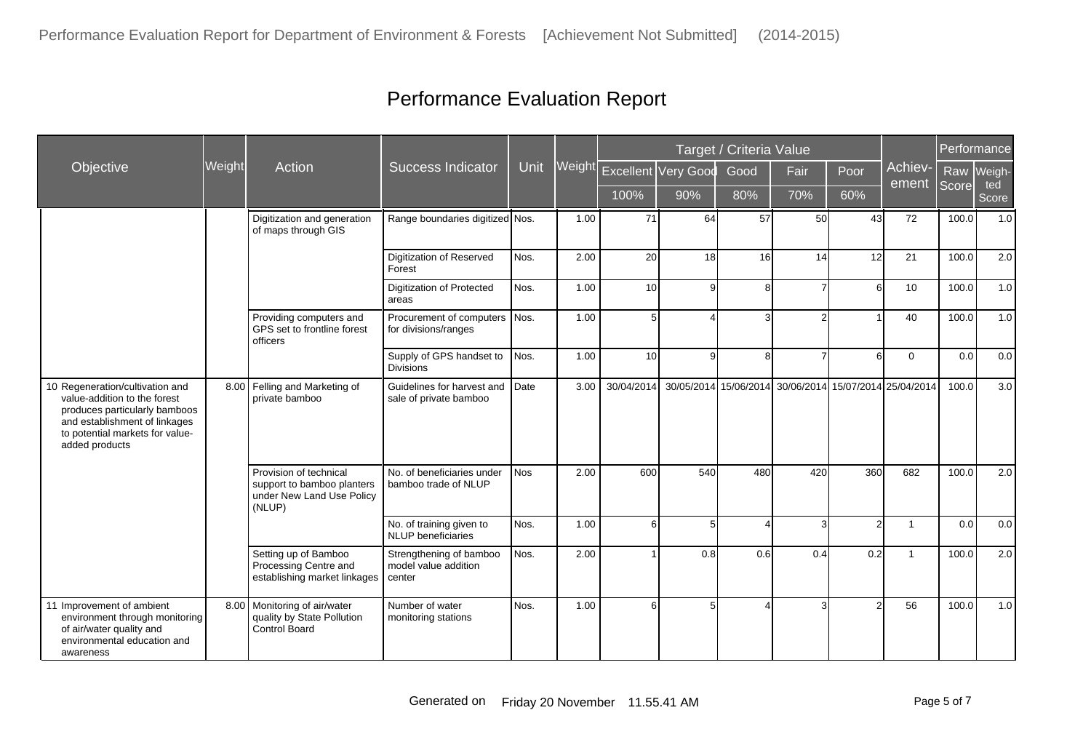|                                                                                                                                                                                        |        |                                                                                             |                                                           |             |        |                 |                     | Target / Criteria Value |                                                        |                |                  | Performance |              |
|----------------------------------------------------------------------------------------------------------------------------------------------------------------------------------------|--------|---------------------------------------------------------------------------------------------|-----------------------------------------------------------|-------------|--------|-----------------|---------------------|-------------------------|--------------------------------------------------------|----------------|------------------|-------------|--------------|
| Objective                                                                                                                                                                              | Weight | <b>Action</b>                                                                               | <b>Success Indicator</b>                                  | <b>Unit</b> | Weight |                 | Excellent Very Good | Good                    | Fair                                                   | Poor           | Achiev-<br>ement | Raw         | Weigh-       |
|                                                                                                                                                                                        |        |                                                                                             |                                                           |             |        | 100%            | 90%                 | 80%                     | 70%                                                    | 60%            |                  | Score       | ted<br>Score |
|                                                                                                                                                                                        |        | Digitization and generation<br>of maps through GIS                                          | Range boundaries digitized Nos.                           |             | 1.00   | 71              | 64                  | 57                      | 50                                                     | 43             | 72               | 100.0       | 1.0          |
|                                                                                                                                                                                        |        |                                                                                             | Digitization of Reserved<br>Forest                        | Nos.        | 2.00   | 20              | 18                  | 16                      | 14                                                     | 12             | 21               | 100.0       | 2.0          |
|                                                                                                                                                                                        |        |                                                                                             | <b>Digitization of Protected</b><br>areas                 | Nos.        | 1.00   | 10 <sup>1</sup> | 9 <sub>l</sub>      | 8                       | $\overline{7}$                                         | $6 \mid$       | 10               | 100.0       | 1.0          |
|                                                                                                                                                                                        |        | Providing computers and<br>GPS set to frontline forest<br>officers                          | Procurement of computers Nos.<br>for divisions/ranges     |             | 1.00   | 5 <sup>1</sup>  | 4                   |                         | $\overline{2}$                                         |                | 40               | 100.0       | 1.0          |
|                                                                                                                                                                                        |        |                                                                                             | Supply of GPS handset to<br><b>Divisions</b>              | Nos.        | 1.00   | 10              | 9                   | 8                       | $\overline{7}$                                         | 6 <sup>1</sup> | $\Omega$         | 0.0         | 0.0          |
| 10 Regeneration/cultivation and<br>value-addition to the forest<br>produces particularly bamboos<br>and establishment of linkages<br>to potential markets for value-<br>added products |        | 8.00 Felling and Marketing of<br>private bamboo                                             | Guidelines for harvest and<br>sale of private bamboo      | Date        | 3.00   | 30/04/2014      |                     |                         | 30/05/2014 15/06/2014 30/06/2014 15/07/2014 25/04/2014 |                |                  | 100.0       | 3.0          |
|                                                                                                                                                                                        |        | Provision of technical<br>support to bamboo planters<br>under New Land Use Policy<br>(NLUP) | No. of beneficiaries under<br>bamboo trade of NLUP        | <b>Nos</b>  | 2.00   | 600             | 540                 | 480                     | 420                                                    | 360            | 682              | 100.0       | $2.0\,$      |
|                                                                                                                                                                                        |        |                                                                                             | No. of training given to<br><b>NLUP</b> beneficiaries     | Nos.        | 1.00   | 6               | 5 <sub>5</sub>      |                         | $\overline{3}$                                         | $\overline{2}$ | $\overline{1}$   | 0.0         | $0.0\,$      |
|                                                                                                                                                                                        |        | Setting up of Bamboo<br>Processing Centre and<br>establishing market linkages               | Strengthening of bamboo<br>model value addition<br>center | Nos.        | 2.00   |                 | 0.8                 | 0.6                     | 0.4                                                    | 0.2            | $\overline{1}$   | 100.0       | 2.0          |
| 11 Improvement of ambient<br>environment through monitoring<br>of air/water quality and<br>environmental education and<br>awareness                                                    | 8.00   | Monitoring of air/water<br>quality by State Pollution<br><b>Control Board</b>               | Number of water<br>monitoring stations                    | Nos.        | 1.00   | 6               | 5 <sup>1</sup>      |                         | 3I                                                     | $\mathcal{P}$  | 56               | 100.0       | 1.0          |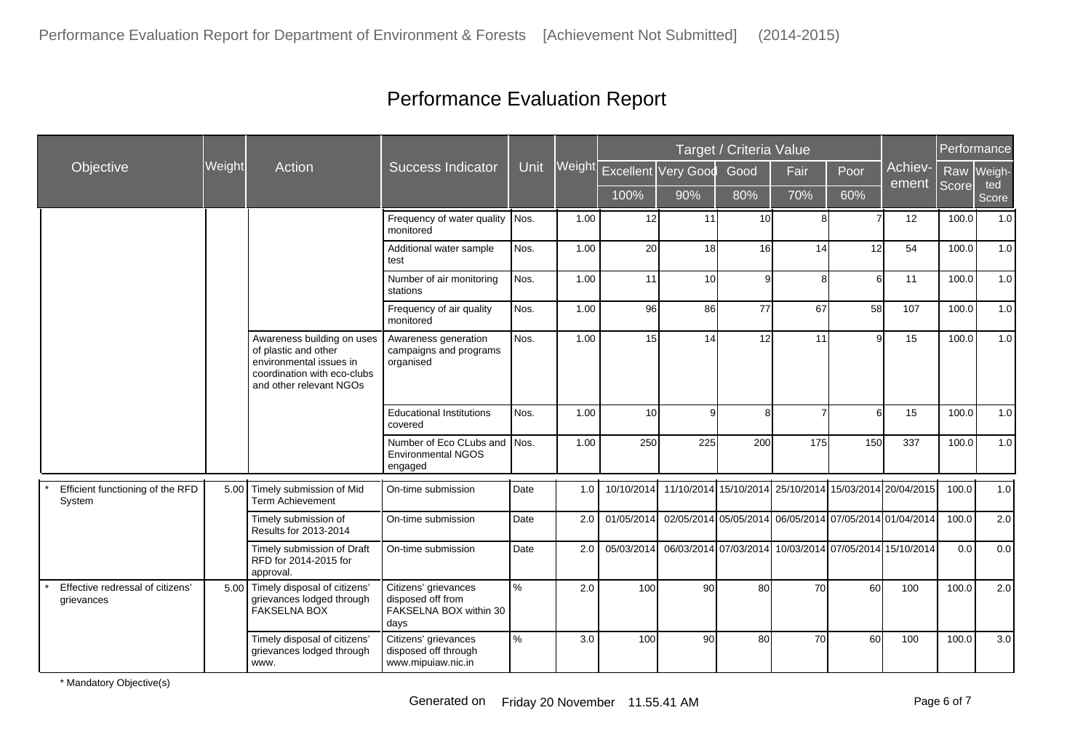|                                                |               |                                                                                                                                         |                                                                             |      |        |            |                                                        | Target / Criteria Value |                |      |                                  | Performance |              |
|------------------------------------------------|---------------|-----------------------------------------------------------------------------------------------------------------------------------------|-----------------------------------------------------------------------------|------|--------|------------|--------------------------------------------------------|-------------------------|----------------|------|----------------------------------|-------------|--------------|
| Objective                                      | <b>Weight</b> | Action                                                                                                                                  | <b>Success Indicator</b>                                                    | Unit | Weight |            | Excellent Very Good                                    | Good                    | Fair           | Poor | Achiev-<br>ement                 | Raw         | Weigh-       |
|                                                |               |                                                                                                                                         |                                                                             |      |        | 100%       | 90%                                                    | 80%                     | 70%            | 60%  |                                  | Score       | ted<br>Score |
|                                                |               |                                                                                                                                         | Frequency of water quality<br>monitored                                     | Nos. | 1.00   | 12         | 11                                                     | 10 <sup>1</sup>         | 8              |      | 12                               | 100.0       | 1.0          |
|                                                |               |                                                                                                                                         | Additional water sample<br>test                                             | Nos. | 1.00   | 20         | 18                                                     | 16                      | 14             | 12   | 54                               | 100.0       | 1.0          |
|                                                |               |                                                                                                                                         | Number of air monitoring<br>stations                                        | Nos. | 1.00   | 11         | 10                                                     | 9l                      | 8              | 6    | 11                               | 100.0       | 1.0          |
|                                                |               |                                                                                                                                         | Frequency of air quality<br>monitored                                       | Nos. | 1.00   | 96         | 86                                                     | 77                      | 67             | 58   | 107                              | 100.0       | 1.0          |
|                                                |               | Awareness building on uses<br>of plastic and other<br>environmental issues in<br>coordination with eco-clubs<br>and other relevant NGOs | Awareness generation<br>campaigns and programs<br>organised                 | Nos. | 1.00   | 15         | 14                                                     | 12                      | 11             | 9    | 15                               | 100.0       | 1.0          |
|                                                |               |                                                                                                                                         | <b>Educational Institutions</b><br>covered                                  | Nos. | 1.00   | 10         | 9                                                      | 8l                      | $\overline{7}$ | 6    | 15                               | 100.0       | 1.0          |
|                                                |               |                                                                                                                                         | Number of Eco CLubs and Nos.<br><b>Environmental NGOS</b><br>engaged        |      | 1.00   | 250        | 225                                                    | 200                     | 175            | 150  | 337                              | 100.0       | 1.0          |
| Efficient functioning of the RFD<br>System     | 5.00          | Timely submission of Mid<br>Term Achievement                                                                                            | On-time submission                                                          | Date | 1.0    | 10/10/2014 | 11/10/2014 15/10/2014                                  |                         |                |      | 25/10/2014 15/03/2014 20/04/2015 | 100.0       | 1.0          |
|                                                |               | Timely submission of<br>Results for 2013-2014                                                                                           | On-time submission                                                          | Date | 2.0    | 01/05/2014 | 02/05/2014 05/05/2014 06/05/2014 07/05/2014 01/04/2014 |                         |                |      |                                  | 100.0       | 2.0          |
|                                                |               | Timely submission of Draft<br>RFD for 2014-2015 for<br>approval.                                                                        | On-time submission                                                          | Date | 2.0    | 05/03/2014 | 06/03/2014 07/03/2014 10/03/2014 07/05/2014 15/10/2014 |                         |                |      |                                  | 0.0         | 0.0          |
| Effective redressal of citizens'<br>grievances | 5.00          | Timely disposal of citizens'<br>grievances lodged through<br><b>FAKSELNA BOX</b>                                                        | Citizens' grievances<br>disposed off from<br>FAKSELNA BOX within 30<br>days | $\%$ | 2.0    | 100        | 90 <sup>1</sup>                                        | 80                      | 70             | 60   | 100                              | 100.0       | 2.0          |
|                                                |               | Timely disposal of citizens'<br>grievances lodged through<br>www.                                                                       | Citizens' grievances<br>disposed off through<br>www.mipuiaw.nic.in          | $\%$ | 3.0    | 100        | 90                                                     | 80                      | 70             | 60   | 100                              | 100.0       | 3.0          |

\* Mandatory Objective(s)